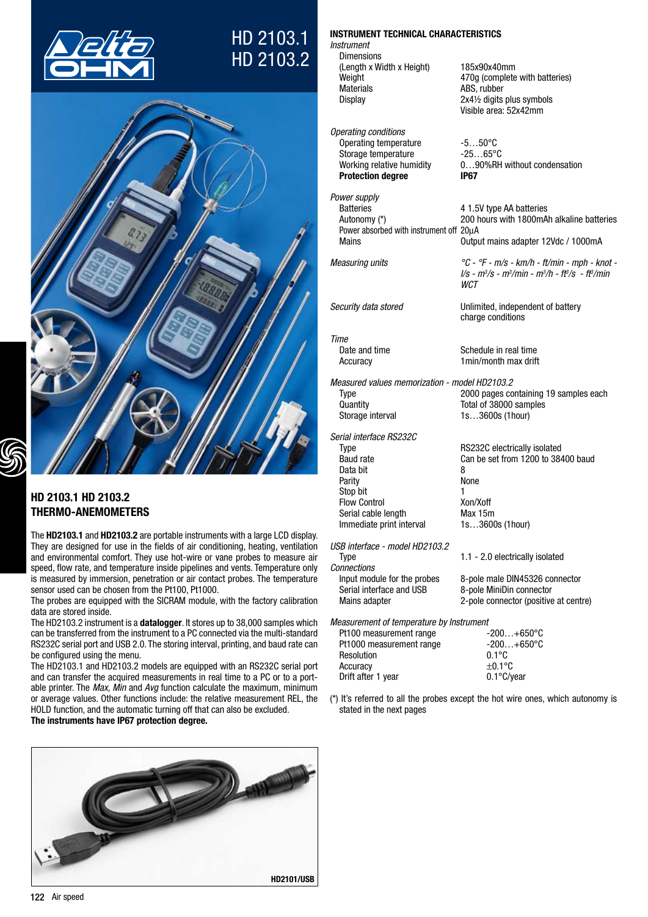





# HD 2103.1 HD 2103.2 THERMO-ANEMOMETERS

The HD2103.1 and HD2103.2 are portable instruments with a large LCD display. They are designed for use in the fields of air conditioning, heating, ventilation and environmental comfort. They use hot-wire or vane probes to measure air speed, flow rate, and temperature inside pipelines and vents. Temperature only is measured by immersion, penetration or air contact probes. The temperature sensor used can be chosen from the Pt100, Pt1000.

The probes are equipped with the SICRAM module, with the factory calibration data are stored inside.

The HD2103.2 instrument is a datalogger. It stores up to 38,000 samples which can be transferred from the instrument to a PC connected via the multi-standard RS232C serial port and USB 2.0. The storing interval, printing, and baud rate can be configured using the menu.

The HD2103.1 and HD2103.2 models are equipped with an RS232C serial port and can transfer the acquired measurements in real time to a PC or to a portable printer. The *Max, Min* and *Avg* function calculate the maximum, minimum or average values. Other functions include: the relative measurement REL, the HOLD function, and the automatic turning off that can also be excluded.

The instruments have IP67 protection degree.



# INSTRUMENT TECHNICAL CHARACTERISTICS

*Instrument* Dimensions (Length x Width x Height) 185x90x40mm Materials ABS, rubber<br>Display 2x4½ digits

*Operating conditions* Operating temperature -5...50°C<br>Storage temperature -25...65°C Storage temperature<br>Working relative humidity Protection degree **IP67** 

*Power supply* Power absorbed with instrument off 20μA

*Time*

*Measured values memorization - model HD2103.2* Quantity **Total of 38000 samples**<br>
Storage interval **The Storage Storage interval** 

*Serial interface RS232C* Data bit<br>Parity 1988 - Parity 1988 Parity Stop bit 1

Flow Control **Xon/Xoff**<br>Serial cable length **Xax** 15m Serial cable length Max 15m<br>Immediate print interval 1s...3600s (1hour)

*USB interface - model HD2103.2*

Immediate print interval

| <u>ooo iiitoriuuti - iilouur ribe roo.e</u> |                                       |
|---------------------------------------------|---------------------------------------|
| Tvpe                                        | 1.1 - 2.0 electrically isolated       |
| <b>Connections</b>                          |                                       |
| Input module for the probes                 | 8-pole male DIN45326 connector        |
| Serial interface and USB                    | 8-pole MiniDin connector              |
| Mains adapter                               | 2-pole connector (positive at centre) |
|                                             |                                       |

*Measurement of temperature by Instrument* 

| Pt100 measurement range  | $-200+650^{\circ}$ C |
|--------------------------|----------------------|
| Pt1000 measurement range | $-200+650^{\circ}$ C |
| Resolution               | $0.1^{\circ}$ C      |
| Accuracy                 | $\pm 0.1$ °C         |
| Drift after 1 year       | $0.1^{\circ}$ C/vear |
|                          |                      |

(\*) It's referred to all the probes except the hot wire ones, which autonomy is stated in the next pages

Weight **470g** (complete with batteries) 2x41/<sub>2</sub> digits plus symbols Visible area: 52x42mm

0...90%RH without condensation

4 1.5V type AA batteries Autonomy (\*) 200 hours with 1800mAh alkaline batteries

Mains Output mains adapter 12Vdc / 1000mA

*Measuring units °C - °F - m/s - km/h - ft/min - mph - knot l/s - m3 /s - m3 /min - m3 /h - ft3 /s - ft3 /min WCT*

*Security data stored* Unlimited, independent of battery charge conditions

Schedule in real time Accuracy 1min/month max drift

Type 2000 pages containing 19 samples each 1s…3600s (1hour)

Type Type RS232C electrically isolated<br>Baud rate Can be set from 1200 to 384 Can be set from  $1200$  to 38400 baud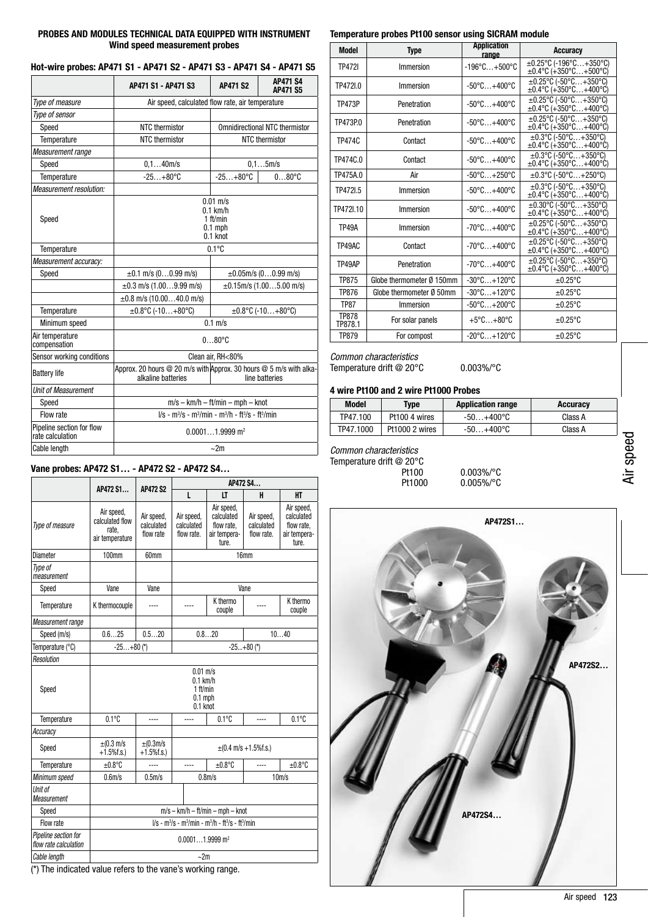## PROBES AND MODULES TECHNICAL DATA EQUIPPED WITH INSTRUMENT Wind speed measurement probes

| Hot-wire probes: AP471 S1 - AP471 S2 - AP471 S3 - AP471 S4 - AP471 S5 |  |  |  |
|-----------------------------------------------------------------------|--|--|--|
|-----------------------------------------------------------------------|--|--|--|

|                                               | AP471 S1 - AP471 S3                                                                                        | <b>AP471 S2</b> | <b>AP471 S4</b><br><b>AP471 S5</b> |  |
|-----------------------------------------------|------------------------------------------------------------------------------------------------------------|-----------------|------------------------------------|--|
| Type of measure                               | Air speed, calculated flow rate, air temperature                                                           |                 |                                    |  |
| Type of sensor                                |                                                                                                            |                 |                                    |  |
| Speed                                         | NTC thermistor<br><b>Omnidirectional NTC thermistor</b>                                                    |                 |                                    |  |
| Temperature                                   | NTC thermistor                                                                                             |                 | NTC thermistor                     |  |
| Measurement range                             |                                                                                                            |                 |                                    |  |
| Speed                                         | 0.140m/s                                                                                                   |                 | $0, 1$ 5m/s                        |  |
| Temperature                                   | $-25+80°C$                                                                                                 | $-25+80°C$      | $080^{\circ}$ C                    |  |
| <b>Measurement resolution:</b>                |                                                                                                            |                 |                                    |  |
| Speed                                         | $0.01$ m/s<br>$0.1$ km/h<br>1 ft/min<br>$0.1$ mph<br>$0.1$ knot                                            |                 |                                    |  |
| Temperature                                   |                                                                                                            | $0.1^{\circ}C$  |                                    |  |
| Measurement accuracy:                         |                                                                                                            |                 |                                    |  |
| Speed                                         | $\pm 0.1$ m/s (00.99 m/s)                                                                                  |                 | $\pm 0.05$ m/s (00.99 m/s)         |  |
|                                               | $\pm 0.3$ m/s (1.009.99 m/s)                                                                               |                 | $\pm 0.15$ m/s (1.005.00 m/s)      |  |
|                                               | $\pm 0.8$ m/s (10.0040.0 m/s)                                                                              |                 |                                    |  |
| Temperature                                   | $\pm 0.8$ °C (-10+80°C)<br>$\pm 0.8$ °C (-10+80°C)                                                         |                 |                                    |  |
| Minimum speed                                 | $0.1$ m/s                                                                                                  |                 |                                    |  |
| Air temperature<br>compensation               | $080^{\circ}$ C                                                                                            |                 |                                    |  |
| Sensor working conditions                     | Clean air, RH<80%                                                                                          |                 |                                    |  |
| <b>Battery life</b>                           | Approx. 20 hours @ 20 m/s with Approx. 30 hours @ 5 m/s with alka-<br>alkaline batteries<br>line batteries |                 |                                    |  |
| Unit of Measurement                           |                                                                                                            |                 |                                    |  |
| Speed                                         | $m/s - km/h - ft/min - mph - knot$                                                                         |                 |                                    |  |
| Flow rate                                     | $1/s - m^3/s - m^3/m$ in - m $3/h - ft^3/s - ft^3/m$ in                                                    |                 |                                    |  |
| Pipeline section for flow<br>rate calculation | $0.00011.9999$ m <sup>2</sup>                                                                              |                 |                                    |  |
| Cable length                                  | $\sim$ 2m                                                                                                  |                 |                                    |  |

| Vane probes: AP472 S1 - AP472 S2 - AP472 S4   |                                                                 |                                       |                                             |                                                                 |                                        |                                                                 |
|-----------------------------------------------|-----------------------------------------------------------------|---------------------------------------|---------------------------------------------|-----------------------------------------------------------------|----------------------------------------|-----------------------------------------------------------------|
|                                               |                                                                 |                                       | AP472 S4                                    |                                                                 |                                        |                                                                 |
|                                               | AP472 S1                                                        | <b>AP472 S2</b>                       | L                                           | LT                                                              | H                                      | HT                                                              |
| Type of measure                               | Air speed,<br>calculated flow<br>rate.<br>air temperature       | Air speed,<br>calculated<br>flow rate | Air speed,<br>calculated<br>flow rate.      | Air speed,<br>calculated<br>flow rate.<br>air tempera-<br>ture. | Air speed,<br>calculated<br>flow rate. | Air speed,<br>calculated<br>flow rate.<br>air tempera-<br>ture. |
| Diameter                                      | 100mm                                                           | 60mm                                  |                                             |                                                                 | 16mm                                   |                                                                 |
| Type of<br>measurement                        |                                                                 |                                       |                                             |                                                                 |                                        |                                                                 |
| Speed                                         | Vane                                                            | Vane                                  |                                             |                                                                 | Vane                                   |                                                                 |
| Temperature                                   | K thermocouple                                                  |                                       |                                             | K thermo<br>couple                                              | ----                                   | K thermo<br>couple                                              |
| Measurement range                             |                                                                 |                                       |                                             |                                                                 |                                        |                                                                 |
| Speed (m/s)                                   | 0.625                                                           | 0.520                                 |                                             | 0.820                                                           |                                        | 1040                                                            |
| Temperature (°C)                              | $-25+80$ (*)                                                    |                                       | $-25+80$ (*)                                |                                                                 |                                        |                                                                 |
| Resolution                                    |                                                                 |                                       |                                             |                                                                 |                                        |                                                                 |
| Speed                                         | $0.01$ m/s<br>$0.1$ km/h<br>1 ft/min<br>$0.1$ mph<br>$0.1$ knot |                                       |                                             |                                                                 |                                        |                                                                 |
| Temperature                                   | $0.1^{\circ}$ C                                                 | $- - -$                               | $- - - -$                                   | $0.1^{\circ}$ C                                                 | ----                                   | $0.1^{\circ}$ C                                                 |
| Accuracy                                      |                                                                 |                                       |                                             |                                                                 |                                        |                                                                 |
| Speed                                         | $\pm$ (0.3 m/s<br>$+1.5\%$ f.s.)                                | $\pm$ (0.3m/s<br>$+1.5%$ f.s.)        | $\pm (0.4 \text{ m/s} + 1.5\% \text{f.s.})$ |                                                                 |                                        |                                                                 |
| Temperature                                   | $±0.8$ °C                                                       |                                       | ----                                        | $±0.8^{\circ}$ C                                                |                                        | $±0.8^{\circ}$ C                                                |
| Minimum speed                                 | $0.6m$ /s                                                       | $0.5m$ /s                             | 0.8 <sub>m/s</sub>                          |                                                                 | $10m$ /s                               |                                                                 |
| Unit of<br>Measurement                        |                                                                 |                                       |                                             |                                                                 |                                        |                                                                 |
| Speed                                         | $m/s - km/h - ft/min - mph - knot$                              |                                       |                                             |                                                                 |                                        |                                                                 |
| Flow rate                                     | $1/s - m^3/s - m^3/min - m^3/h - ft^3/s - ft^3/min$             |                                       |                                             |                                                                 |                                        |                                                                 |
| Pipeline section for<br>flow rate calculation | $0.00011.9999$ m <sup>2</sup>                                   |                                       |                                             |                                                                 |                                        |                                                                 |
| Cable length                                  | ~2m                                                             |                                       |                                             |                                                                 |                                        |                                                                 |

(\*) The indicated value refers to the vane's working range.

## Temperature probes Pt100 sensor using SICRAM module

| <b>Model</b>            | <b>Type</b>               | <b>Application</b><br>range       | Accuracy                                                                          |
|-------------------------|---------------------------|-----------------------------------|-----------------------------------------------------------------------------------|
| <b>TP4721</b>           | Immersion                 | $-196^{\circ}$ C $+500^{\circ}$ C | ±0.25°C (-196°C+350°C)<br>$\pm 0.4$ °C (+350°C+500°C)                             |
| TP472I.0                | Immersion                 | $-50^{\circ}$ C $+400^{\circ}$ C  | $\pm 0.25^{\circ}$ C (-50°C+350°C)<br>±0.4°C (+350°C+400°C)                       |
| <b>TP473P</b>           | Penetration               | $-50^{\circ}$ C $+400^{\circ}$ C  | $\pm 0.25^{\circ}$ C (-50°C+350°C)<br>$\pm 0.4$ °C (+350°C+400°C)                 |
| TP473P.0                | Penetration               | $-50^{\circ}$ C $+400^{\circ}$ C  | $\pm 0.25^{\circ}$ C (-50 $^{\circ}$ C+350 $^{\circ}$ C)<br>±0.4°C (+350°C+400°C) |
| TP474C                  | Contact                   | $-50^{\circ}$ C $+400^{\circ}$ C  | $\pm 0.3$ °C (-50°C+350°C)<br>$\pm 0.4$ °C (+350°C+400°C)                         |
| TP474C.0                | Contact                   | $-50^{\circ}$ C $+400^{\circ}$ C  | $\pm 0.3$ °C (-50°C+350°C)<br>$\pm 0.4$ °C (+350°C+400°C)                         |
| TP475A.0                | Air                       | $-50^{\circ}$ C $+250^{\circ}$ C  | $\pm 0.3$ °C (-50°C+250°C)                                                        |
| TP472I.5                | Immersion                 | $-50^{\circ}$ C $+400^{\circ}$ C  | $\pm 0.3$ °C (-50°C+350°C)<br>$\pm 0.4$ °C (+350°C+400°Ć)                         |
| TP472L10                | Immersion                 | $-50^{\circ}$ C $+400^{\circ}$ C  | $\pm 0.30^{\circ}$ C (-50°C+350°C)<br>$\pm 0.4$ °C (+350°C+400°C)                 |
| <b>TP49A</b>            | Immersion                 | $-70^{\circ}$ C $+400^{\circ}$ C  | $\pm 0.25^{\circ}$ C (-50°C+350°C)<br>±0.4°C (+350°C+400°C)                       |
| TP49AC                  | Contact                   | $-70^{\circ}$ C $+400^{\circ}$ C  | $\pm 0.25^{\circ}$ C (-50°C+350°C)<br>$\pm 0.4$ °C (+350°C+400°C)                 |
| TP49AP                  | Penetration               | $-70^{\circ}$ C $+400^{\circ}$ C  | $\pm 0.25^{\circ}$ C (-50°C+350°C)<br>$\pm 0.4$ °C (+350°C+400°C)                 |
| <b>TP875</b>            | Globe thermometer Ø 150mm | $-30^{\circ}$ C $+120^{\circ}$ C  | $\pm 0.25$ °C                                                                     |
| <b>TP876</b>            | Globe thermometer Ø 50mm  | $-30^{\circ}$ C $+120^{\circ}$ C  | $\pm 0.25$ °C                                                                     |
| <b>TP87</b>             | Immersion                 | $-50^{\circ}$ C $+200^{\circ}$ C  | $\pm 0.25$ °C                                                                     |
| <b>TP878</b><br>TP878.1 | For solar panels          | $+5^{\circ}$ C $+80^{\circ}$ C    | $\pm 0.25$ °C                                                                     |
| <b>TP879</b>            | For compost               | $-20^{\circ}$ C $+120^{\circ}$ C  | $\pm 0.25$ °C                                                                     |

## *Common characteristics* Temperature drift @ 20°C 0.003%/°C

# 4 wire Pt100 and 2 wire Pt1000 Probes

| Model     | Tvpe           | <b>Application range</b> | Accuracy |
|-----------|----------------|--------------------------|----------|
| TP47.100  | Pt100 4 wires  | -50…+400°C               | Class A  |
| TP47.1000 | Pt1000 2 wires | -50…+400°C               | Class A  |

*Common characteristics*

| Temperature drift @ 20°C |               |
|--------------------------|---------------|
| Pt100                    | $0.003\%$ /°C |
| Pt1000                   | $0.005\%$ /°C |